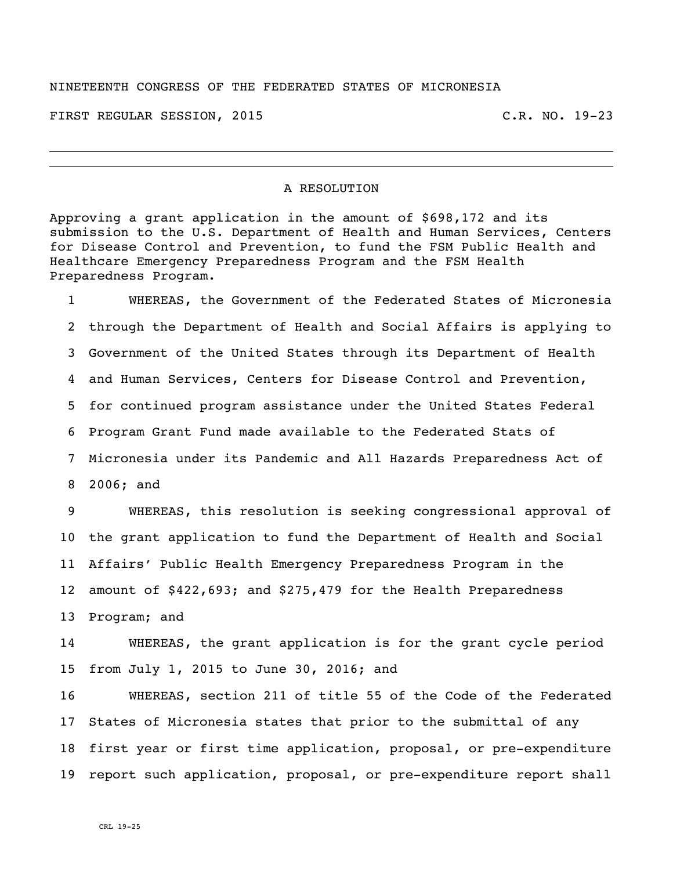## NINETEENTH CONGRESS OF THE FEDERATED STATES OF MICRONESIA

FIRST REGULAR SESSION, 2015 C.R. NO. 19-23

## A RESOLUTION

Approving a grant application in the amount of \$698,172 and its submission to the U.S. Department of Health and Human Services, Centers for Disease Control and Prevention, to fund the FSM Public Health and Healthcare Emergency Preparedness Program and the FSM Health Preparedness Program.

 WHEREAS, the Government of the Federated States of Micronesia through the Department of Health and Social Affairs is applying to Government of the United States through its Department of Health and Human Services, Centers for Disease Control and Prevention, for continued program assistance under the United States Federal Program Grant Fund made available to the Federated Stats of Micronesia under its Pandemic and All Hazards Preparedness Act of 2006; and

 WHEREAS, this resolution is seeking congressional approval of the grant application to fund the Department of Health and Social Affairs' Public Health Emergency Preparedness Program in the amount of \$422,693; and \$275,479 for the Health Preparedness Program; and

 WHEREAS, the grant application is for the grant cycle period from July 1, 2015 to June 30, 2016; and

 WHEREAS, section 211 of title 55 of the Code of the Federated States of Micronesia states that prior to the submittal of any first year or first time application, proposal, or pre-expenditure report such application, proposal, or pre-expenditure report shall